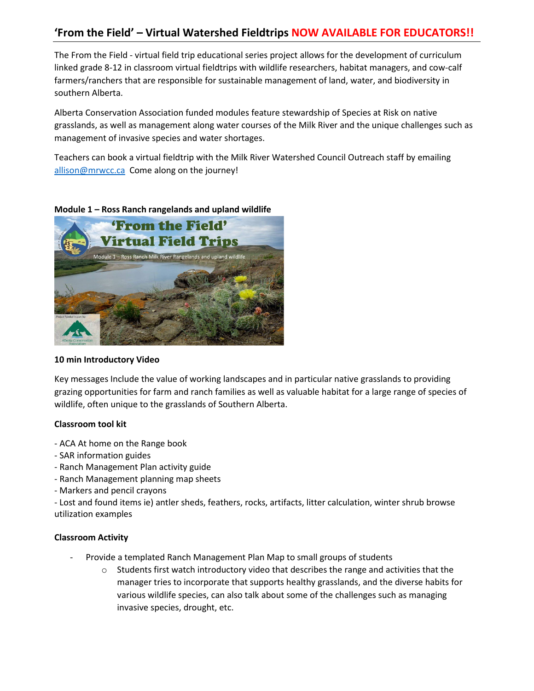# **'From the Field' – Virtual Watershed Fieldtrips NOW AVAILABLE FOR EDUCATORS!!**

The From the Field - virtual field trip educational series project allows for the development of curriculum linked grade 8-12 in classroom virtual fieldtrips with wildlife researchers, habitat managers, and cow-calf farmers/ranchers that are responsible for sustainable management of land, water, and biodiversity in southern Alberta.

Alberta Conservation Association funded modules feature stewardship of Species at Risk on native grasslands, as well as management along water courses of the Milk River and the unique challenges such as management of invasive species and water shortages.

Teachers can book a virtual fieldtrip with the Milk River Watershed Council Outreach staff by emailing [allison@mrwcc.ca](mailto:allison@mrwcc.ca) Come along on the journey!

## **Module 1 – Ross Ranch rangelands and upland wildlife**



## **10 min Introductory Video**

Key messages Include the value of working landscapes and in particular native grasslands to providing grazing opportunities for farm and ranch families as well as valuable habitat for a large range of species of wildlife, often unique to the grasslands of Southern Alberta.

## **Classroom tool kit**

- ACA At home on the Range book
- SAR information guides
- Ranch Management Plan activity guide
- Ranch Management planning map sheets
- Markers and pencil crayons

- Lost and found items ie) antler sheds, feathers, rocks, artifacts, litter calculation, winter shrub browse utilization examples

## **Classroom Activity**

- Provide a templated Ranch Management Plan Map to small groups of students
	- $\circ$  Students first watch introductory video that describes the range and activities that the manager tries to incorporate that supports healthy grasslands, and the diverse habits for various wildlife species, can also talk about some of the challenges such as managing invasive species, drought, etc.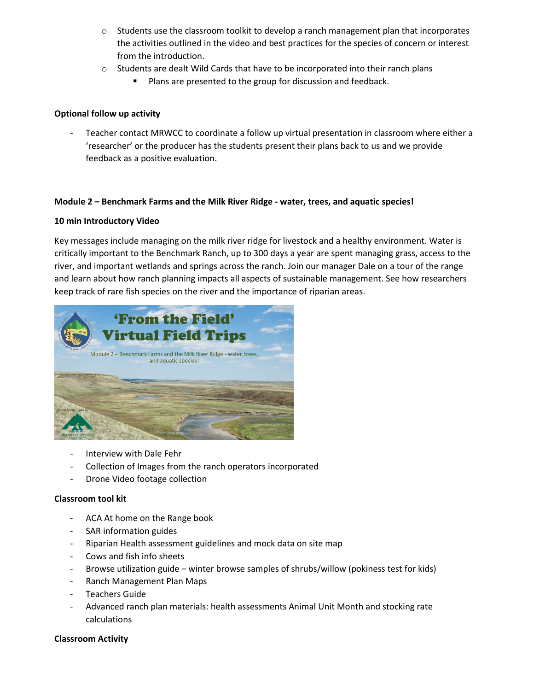- $\circ$  Students use the classroom toolkit to develop a ranch management plan that incorporates the activities outlined in the video and best practices for the species of concern or interest from the introduction.
- $\circ$  Students are dealt Wild Cards that have to be incorporated into their ranch plans
	- Plans are presented to the group for discussion and feedback.

## **Optional follow up activity**

Teacher contact MRWCC to coordinate a follow up virtual presentation in classroom where either a 'researcher' or the producer has the students present their plans back to us and we provide feedback as a positive evaluation.

## **Module 2 – Benchmark Farms and the Milk River Ridge - water, trees, and aquatic species!**

## **10 min Introductory Video**

Key messages include managing on the milk river ridge for livestock and a healthy environment. Water is critically important to the Benchmark Ranch, up to 300 days a year are spent managing grass, access to the river, and important wetlands and springs across the ranch. Join our manager Dale on a tour of the range and learn about how ranch planning impacts all aspects of sustainable management. See how researchers keep track of rare fish species on the river and the importance of riparian areas.



- Interview with Dale Fehr
- Collection of Images from the ranch operators incorporated
- Drone Video footage collection

## **Classroom tool kit**

- ACA At home on the Range book
- SAR information guides
- Riparian Health assessment guidelines and mock data on site map
- Cows and fish info sheets
- Browse utilization guide winter browse samples of shrubs/willow (pokiness test for kids)
- Ranch Management Plan Maps
- Teachers Guide
- Advanced ranch plan materials: health assessments Animal Unit Month and stocking rate calculations

## **Classroom Activity**